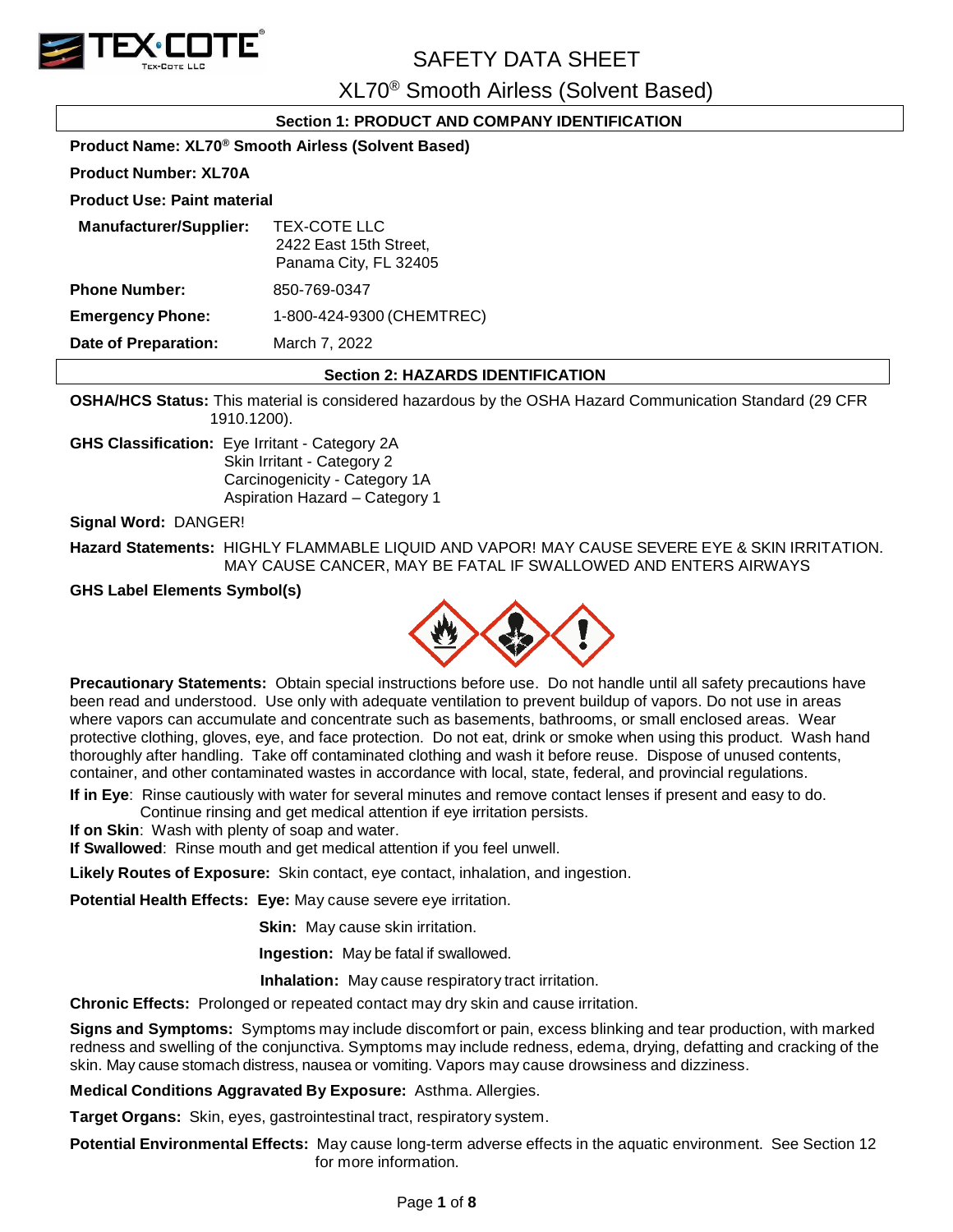

XL70® Smooth Airless (Solvent Based)

## **Section 1: PRODUCT AND COMPANY IDENTIFICATION**

|                                                                | 0000001 1.1 1\0D0001 AND 00MI AN IDENT                          |  |  |
|----------------------------------------------------------------|-----------------------------------------------------------------|--|--|
| Product Name: XL70 <sup>®</sup> Smooth Airless (Solvent Based) |                                                                 |  |  |
| <b>Product Number: XL70A</b>                                   |                                                                 |  |  |
| <b>Product Use: Paint material</b>                             |                                                                 |  |  |
| <b>Manufacturer/Supplier:</b>                                  | TEX-COTE LLC<br>2422 East 15th Street,<br>Panama City, FL 32405 |  |  |
| <b>Phone Number:</b>                                           | 850-769-0347                                                    |  |  |
| <b>Emergency Phone:</b>                                        | 1-800-424-9300 (CHEMTREC)                                       |  |  |
| Date of Preparation:                                           | March 7, 2022                                                   |  |  |
|                                                                | <b>Section 2: HAZARDS IDENTIFICATION</b>                        |  |  |

**OSHA/HCS Status:** This material is considered hazardous by the OSHA Hazard Communication Standard (29 CFR 1910.1200).

**GHS Classification:** Eye Irritant - Category 2A Skin Irritant - Category 2 Carcinogenicity - Category 1A Aspiration Hazard – Category 1

**Signal Word:** DANGER!

**Hazard Statements:** HIGHLY FLAMMABLE LIQUID AND VAPOR! MAY CAUSE SEVERE EYE & SKIN IRRITATION. MAY CAUSE CANCER, MAY BE FATAL IF SWALLOWED AND ENTERS AIRWAYS

## **GHS Label Elements Symbol(s)**



**Precautionary Statements:** Obtain special instructions before use. Do not handle until all safety precautions have been read and understood. Use only with adequate ventilation to prevent buildup of vapors. Do not use in areas where vapors can accumulate and concentrate such as basements, bathrooms, or small enclosed areas. Wear protective clothing, gloves, eye, and face protection. Do not eat, drink or smoke when using this product. Wash hand thoroughly after handling. Take off contaminated clothing and wash it before reuse. Dispose of unused contents, container, and other contaminated wastes in accordance with local, state, federal, and provincial regulations.

**If in Eye**: Rinse cautiously with water for several minutes and remove contact lenses if present and easy to do. Continue rinsing and get medical attention if eye irritation persists.

**If on Skin**: Wash with plenty of soap and water.

**If Swallowed**: Rinse mouth and get medical attention if you feel unwell.

**Likely Routes of Exposure:** Skin contact, eye contact, inhalation, and ingestion.

**Potential Health Effects: Eye:** May cause severe eye irritation.

**Skin:** May cause skin irritation.

**Ingestion:** May be fatal if swallowed.

 **Inhalation:** May cause respiratory tract irritation.

**Chronic Effects:** Prolonged or repeated contact may dry skin and cause irritation.

**Signs and Symptoms:** Symptoms may include discomfort or pain, excess blinking and tear production, with marked redness and swelling of the conjunctiva. Symptoms may include redness, edema, drying, defatting and cracking of the skin. May cause stomach distress, nausea or vomiting. Vapors may cause drowsiness and dizziness.

**Medical Conditions Aggravated By Exposure:** Asthma. Allergies.

**Target Organs:** Skin, eyes, gastrointestinal tract, respiratory system.

**Potential Environmental Effects:** May cause long-term adverse effects in the aquatic environment. See Section 12 for more information.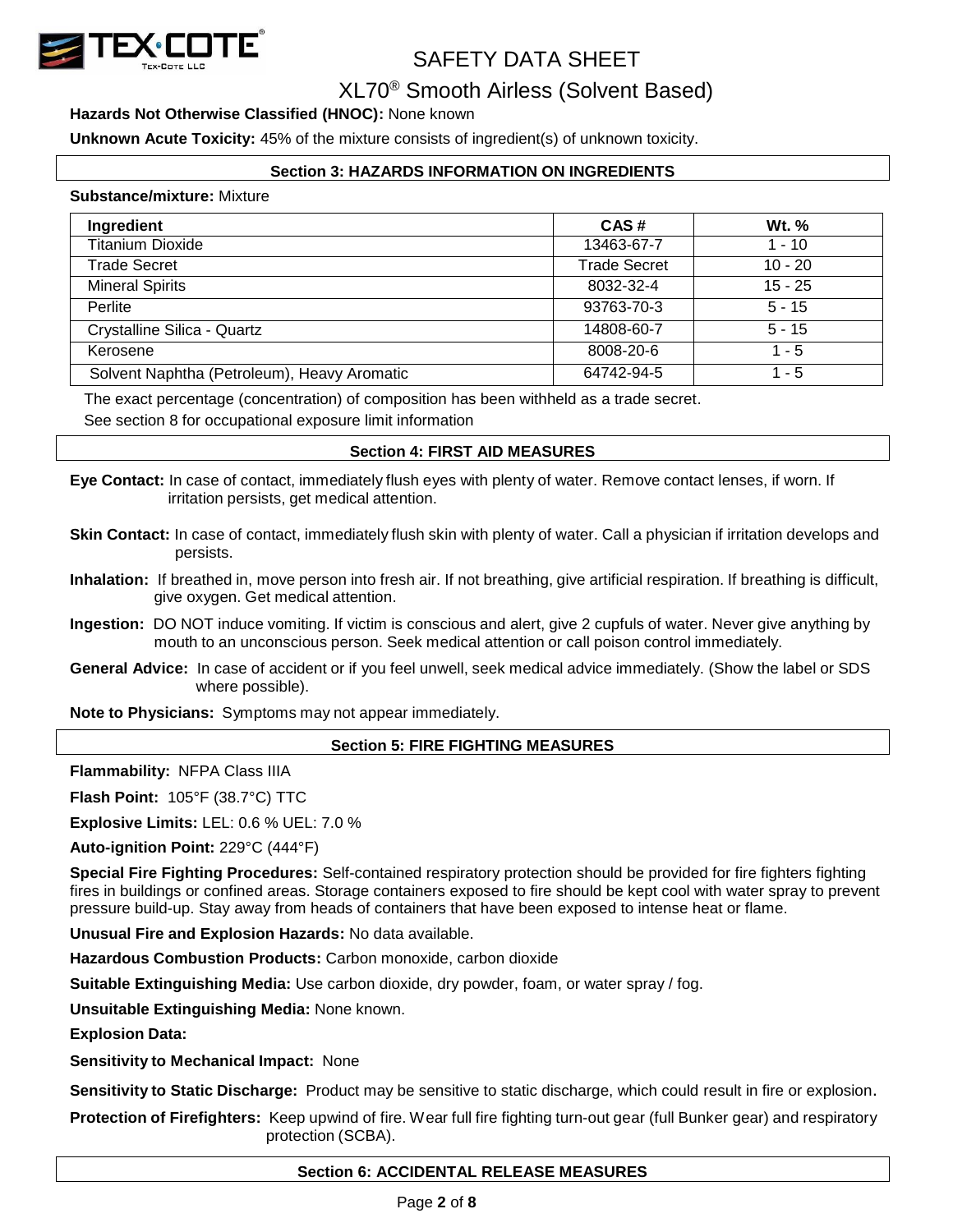

## XL70® Smooth Airless (Solvent Based)

## **Hazards Not Otherwise Classified (HNOC):** None known

**Unknown Acute Toxicity:** 45% of the mixture consists of ingredient(s) of unknown toxicity.

## **Section 3: HAZARDS INFORMATION ON INGREDIENTS**

#### **Substance/mixture:** Mixture

| Ingredient                                  | CAS#                | <b>Wt.</b> % |
|---------------------------------------------|---------------------|--------------|
| <b>Titanium Dioxide</b>                     | 13463-67-7          | $1 - 10$     |
| <b>Trade Secret</b>                         | <b>Trade Secret</b> | $10 - 20$    |
| <b>Mineral Spirits</b>                      | 8032-32-4           | $15 - 25$    |
| Perlite                                     | 93763-70-3          | $5 - 15$     |
| Crystalline Silica - Quartz                 | 14808-60-7          | $5 - 15$     |
| Kerosene                                    | 8008-20-6           | 1 - 5        |
| Solvent Naphtha (Petroleum), Heavy Aromatic | 64742-94-5          | 1 - 5        |

The exact percentage (concentration) of composition has been withheld as a trade secret.

See section 8 for occupational exposure limit information

### **Section 4: FIRST AID MEASURES**

**Eye Contact:** In case of contact, immediately flush eyes with plenty of water. Remove contact lenses, if worn. If irritation persists, get medical attention.

- **Skin Contact:** In case of contact, immediately flush skin with plenty of water. Call a physician if irritation develops and persists.
- **Inhalation:** If breathed in, move person into fresh air. If not breathing, give artificial respiration. If breathing is difficult, give oxygen. Get medical attention.
- **Ingestion:** DO NOT induce vomiting. If victim is conscious and alert, give 2 cupfuls of water. Never give anything by mouth to an unconscious person. Seek medical attention or call poison control immediately.
- **General Advice:** In case of accident or if you feel unwell, seek medical advice immediately. (Show the label or SDS where possible).

**Note to Physicians:** Symptoms may not appear immediately.

### **Section 5: FIRE FIGHTING MEASURES**

**Flammability:** NFPA Class IIIA

**Flash Point:** 105°F (38.7°C) TTC

**Explosive Limits:** LEL: 0.6 % UEL: 7.0 %

**Auto-ignition Point:** 229°C (444°F)

**Special Fire Fighting Procedures:** Self-contained respiratory protection should be provided for fire fighters fighting fires in buildings or confined areas. Storage containers exposed to fire should be kept cool with water spray to prevent pressure build-up. Stay away from heads of containers that have been exposed to intense heat or flame.

**Unusual Fire and Explosion Hazards:** No data available.

**Hazardous Combustion Products:** Carbon monoxide, carbon dioxide

**Suitable Extinguishing Media:** Use carbon dioxide, dry powder, foam, or water spray / fog.

**Unsuitable Extinguishing Media:** None known.

**Explosion Data:**

**Sensitivity to Mechanical Impact:** None

**Sensitivity to Static Discharge:** Product may be sensitive to static discharge, which could result in fire or explosion.

**Protection of Firefighters:** Keep upwind of fire. Wear full fire fighting turn-out gear (full Bunker gear) and respiratory protection (SCBA).

## **Section 6: ACCIDENTAL RELEASE MEASURES**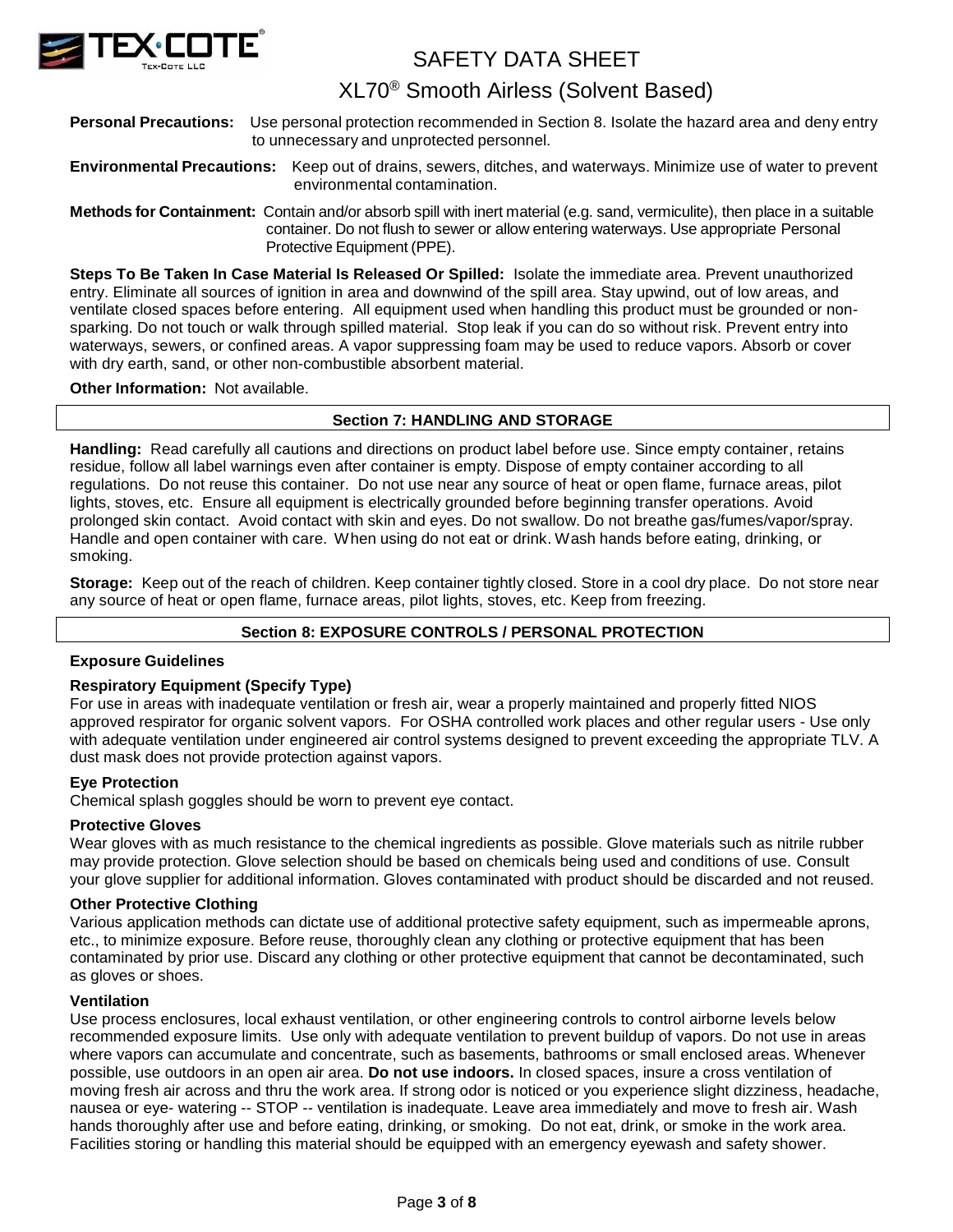

## XL70® Smooth Airless (Solvent Based)

**Personal Precautions:** Use personal protection recommended in Section 8. Isolate the hazard area and deny entry to unnecessary and unprotected personnel.

## **Environmental Precautions:** Keep out of drains, sewers, ditches, and waterways. Minimize use of water to prevent environmental contamination.

**Methods for Containment:** Contain and/or absorb spill with inert material (e.g. sand, vermiculite), then place in a suitable container. Do not flush to sewer or allow entering waterways. Use appropriate Personal Protective Equipment (PPE).

**Steps To Be Taken In Case Material Is Released Or Spilled:** Isolate the immediate area. Prevent unauthorized entry. Eliminate all sources of ignition in area and downwind of the spill area. Stay upwind, out of low areas, and ventilate closed spaces before entering. All equipment used when handling this product must be grounded or nonsparking. Do not touch or walk through spilled material. Stop leak if you can do so without risk. Prevent entry into waterways, sewers, or confined areas. A vapor suppressing foam may be used to reduce vapors. Absorb or cover with dry earth, sand, or other non-combustible absorbent material.

## **Other Information:** Not available.

## **Section 7: HANDLING AND STORAGE**

**Handling:** Read carefully all cautions and directions on product label before use. Since empty container, retains residue, follow all label warnings even after container is empty. Dispose of empty container according to all regulations. Do not reuse this container. Do not use near any source of heat or open flame, furnace areas, pilot lights, stoves, etc. Ensure all equipment is electrically grounded before beginning transfer operations. Avoid prolonged skin contact. Avoid contact with skin and eyes. Do not swallow. Do not breathe gas/fumes/vapor/spray. Handle and open container with care. When using do not eat or drink. Wash hands before eating, drinking, or smoking.

**Storage:** Keep out of the reach of children. Keep container tightly closed. Store in a cool dry place. Do not store near any source of heat or open flame, furnace areas, pilot lights, stoves, etc. Keep from freezing.

## **Section 8: EXPOSURE CONTROLS / PERSONAL PROTECTION**

### **Exposure Guidelines**

### **Respiratory Equipment (Specify Type)**

For use in areas with inadequate ventilation or fresh air, wear a properly maintained and properly fitted NIOS approved respirator for organic solvent vapors. For OSHA controlled work places and other regular users - Use only with adequate ventilation under engineered air control systems designed to prevent exceeding the appropriate TLV. A dust mask does not provide protection against vapors.

### **Eye Protection**

Chemical splash goggles should be worn to prevent eye contact.

### **Protective Gloves**

Wear gloves with as much resistance to the chemical ingredients as possible. Glove materials such as nitrile rubber may provide protection. Glove selection should be based on chemicals being used and conditions of use. Consult your glove supplier for additional information. Gloves contaminated with product should be discarded and not reused.

### **Other Protective Clothing**

Various application methods can dictate use of additional protective safety equipment, such as impermeable aprons, etc., to minimize exposure. Before reuse, thoroughly clean any clothing or protective equipment that has been contaminated by prior use. Discard any clothing or other protective equipment that cannot be decontaminated, such as gloves or shoes.

#### **Ventilation**

Use process enclosures, local exhaust ventilation, or other engineering controls to control airborne levels below recommended exposure limits. Use only with adequate ventilation to prevent buildup of vapors. Do not use in areas where vapors can accumulate and concentrate, such as basements, bathrooms or small enclosed areas. Whenever possible, use outdoors in an open air area. **Do not use indoors.** In closed spaces, insure a cross ventilation of moving fresh air across and thru the work area. If strong odor is noticed or you experience slight dizziness, headache, nausea or eye- watering -- STOP -- ventilation is inadequate. Leave area immediately and move to fresh air. Wash hands thoroughly after use and before eating, drinking, or smoking. Do not eat, drink, or smoke in the work area. Facilities storing or handling this material should be equipped with an emergency eyewash and safety shower.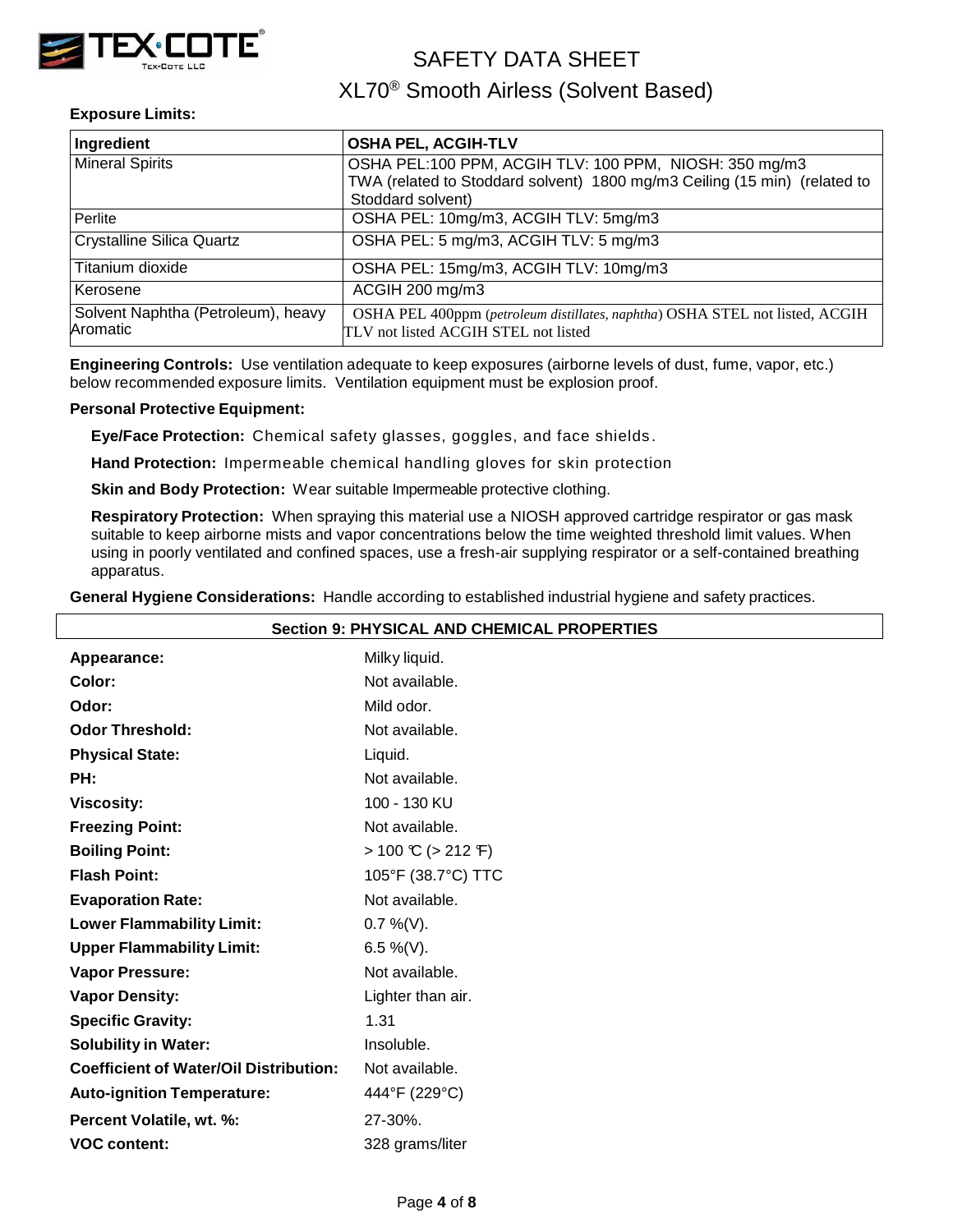

## XL70® Smooth Airless (Solvent Based)

## **Exposure Limits:**

| Ingredient                                     | <b>OSHA PEL, ACGIH-TLV</b>                                                                                           |  |  |  |
|------------------------------------------------|----------------------------------------------------------------------------------------------------------------------|--|--|--|
| <b>Mineral Spirits</b>                         | OSHA PEL:100 PPM, ACGIH TLV: 100 PPM, NIOSH: 350 mg/m3                                                               |  |  |  |
|                                                | TWA (related to Stoddard solvent) 1800 mg/m3 Ceiling (15 min) (related to                                            |  |  |  |
|                                                | Stoddard solvent)                                                                                                    |  |  |  |
| Perlite                                        | OSHA PEL: 10mg/m3, ACGIH TLV: 5mg/m3                                                                                 |  |  |  |
| <b>Crystalline Silica Quartz</b>               | OSHA PEL: 5 mg/m3, ACGIH TLV: 5 mg/m3                                                                                |  |  |  |
| Titanium dioxide                               | OSHA PEL: 15mg/m3, ACGIH TLV: 10mg/m3                                                                                |  |  |  |
| Kerosene                                       | ACGIH 200 mg/m3                                                                                                      |  |  |  |
| Solvent Naphtha (Petroleum), heavy<br>Aromatic | OSHA PEL 400ppm (petroleum distillates, naphtha) OSHA STEL not listed, ACGIH<br>TLV not listed ACGIH STEL not listed |  |  |  |

**Engineering Controls:** Use ventilation adequate to keep exposures (airborne levels of dust, fume, vapor, etc.) below recommended exposure limits. Ventilation equipment must be explosion proof.

### **Personal Protective Equipment:**

**Eye/Face Protection:** Chemical safety glasses, goggles, and face shields .

**Hand Protection:** Impermeable chemical handling gloves for skin protection

**Skin and Body Protection:** Wear suitable Impermeable protective clothing.

**Respiratory Protection:** When spraying this material use a NIOSH approved cartridge respirator or gas mask suitable to keep airborne mists and vapor concentrations below the time weighted threshold limit values. When using in poorly ventilated and confined spaces, use a fresh-air supplying respirator or a self-contained breathing apparatus.

**General Hygiene Considerations:** Handle according to established industrial hygiene and safety practices.

| <b>Section 9: PHYSICAL AND CHEMICAL PROPERTIES</b> |                                         |  |  |
|----------------------------------------------------|-----------------------------------------|--|--|
| Appearance:                                        | Milky liquid.                           |  |  |
| Color:                                             | Not available.                          |  |  |
| Odor:                                              | Mild odor.                              |  |  |
| <b>Odor Threshold:</b>                             | Not available.                          |  |  |
| <b>Physical State:</b>                             | Liquid.                                 |  |  |
| PH:                                                | Not available.                          |  |  |
| <b>Viscosity:</b>                                  | 100 - 130 KU                            |  |  |
| <b>Freezing Point:</b>                             | Not available.                          |  |  |
| <b>Boiling Point:</b>                              | $> 100 \text{ C}$ ( $> 212 \text{ F}$ ) |  |  |
| <b>Flash Point:</b>                                | 105°F (38.7°C) TTC                      |  |  |
| <b>Evaporation Rate:</b>                           | Not available.                          |  |  |
| <b>Lower Flammability Limit:</b>                   | $0.7\%$ (V).                            |  |  |
| <b>Upper Flammability Limit:</b>                   | 6.5 %(V).                               |  |  |
| <b>Vapor Pressure:</b>                             | Not available.                          |  |  |
| <b>Vapor Density:</b>                              | Lighter than air.                       |  |  |
| <b>Specific Gravity:</b>                           | 1.31                                    |  |  |
| <b>Solubility in Water:</b>                        | Insoluble.                              |  |  |
| <b>Coefficient of Water/Oil Distribution:</b>      | Not available.                          |  |  |
| <b>Auto-ignition Temperature:</b>                  | 444°F (229°C)                           |  |  |
| Percent Volatile, wt. %:                           | 27-30%.                                 |  |  |
| <b>VOC content:</b>                                | 328 grams/liter                         |  |  |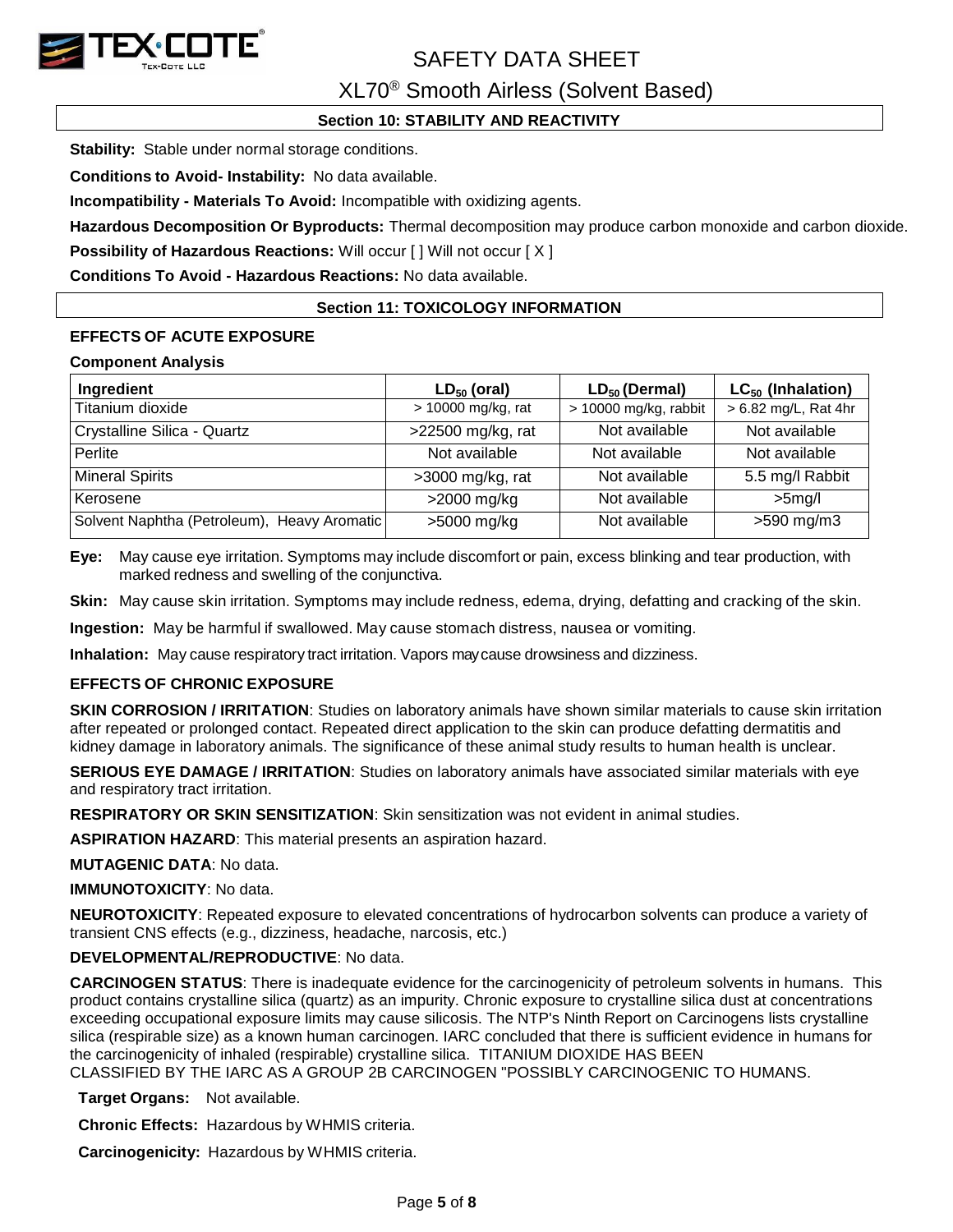

XL70® Smooth Airless (Solvent Based)

## **Section 10: STABILITY AND REACTIVITY**

**Stability:** Stable under normal storage conditions.

**Conditions to Avoid- Instability:** No data available.

**Incompatibility - Materials To Avoid:** Incompatible with oxidizing agents.

**Hazardous Decomposition Or Byproducts:** Thermal decomposition may produce carbon monoxide and carbon dioxide.

**Possibility of Hazardous Reactions: Will occur [] Will not occur [X]** 

**Conditions To Avoid - Hazardous Reactions:** No data available.

## **Section 11: TOXICOLOGY INFORMATION**

## **EFFECTS OF ACUTE EXPOSURE**

#### **Component Analysis**

| Ingredient                                  | $LD_{50}$ (oral)   | $LD_{50}$ (Dermal)    | $LC_{50}$ (Inhalation) |  |
|---------------------------------------------|--------------------|-----------------------|------------------------|--|
| Titanium dioxide                            | > 10000 mg/kg, rat | > 10000 mg/kg, rabbit | > 6.82 mg/L, Rat 4hr   |  |
| Crystalline Silica - Quartz                 | >22500 mg/kg, rat  | Not available         | Not available          |  |
| Perlite                                     | Not available      | Not available         | Not available          |  |
| <b>Mineral Spirits</b>                      | $>3000$ mg/kg, rat | Not available         | 5.5 mg/l Rabbit        |  |
| Kerosene                                    | $>2000$ mg/kg      | Not available         | $>5$ mg/l              |  |
| Solvent Naphtha (Petroleum), Heavy Aromatic | >5000 mg/kg        | Not available         | $>590$ mg/m3           |  |

**Eye:** May cause eye irritation. Symptoms may include discomfort or pain, excess blinking and tear production, with marked redness and swelling of the conjunctiva.

**Skin:** May cause skin irritation. Symptoms may include redness, edema, drying, defatting and cracking of the skin.

**Ingestion:** May be harmful if swallowed. May cause stomach distress, nausea or vomiting.

**Inhalation:** May cause respiratory tract irritation. Vapors maycause drowsiness and dizziness.

## **EFFECTS OF CHRONIC EXPOSURE**

**SKIN CORROSION / IRRITATION**: Studies on laboratory animals have shown similar materials to cause skin irritation after repeated or prolonged contact. Repeated direct application to the skin can produce defatting dermatitis and kidney damage in laboratory animals. The significance of these animal study results to human health is unclear.

**SERIOUS EYE DAMAGE / IRRITATION**: Studies on laboratory animals have associated similar materials with eye and respiratory tract irritation.

**RESPIRATORY OR SKIN SENSITIZATION**: Skin sensitization was not evident in animal studies.

**ASPIRATION HAZARD**: This material presents an aspiration hazard.

**MUTAGENIC DATA**: No data.

**IMMUNOTOXICITY**: No data.

**NEUROTOXICITY**: Repeated exposure to elevated concentrations of hydrocarbon solvents can produce a variety of transient CNS effects (e.g., dizziness, headache, narcosis, etc.)

## **DEVELOPMENTAL/REPRODUCTIVE**: No data.

**CARCINOGEN STATUS**: There is inadequate evidence for the carcinogenicity of petroleum solvents in humans. This product contains crystalline silica (quartz) as an impurity. Chronic exposure to crystalline silica dust at concentrations exceeding occupational exposure limits may cause silicosis. The NTP's Ninth Report on Carcinogens lists crystalline silica (respirable size) as a known human carcinogen. IARC concluded that there is sufficient evidence in humans for the carcinogenicity of inhaled (respirable) crystalline silica. TITANIUM DIOXIDE HAS BEEN CLASSIFIED BY THE IARC AS A GROUP 2B CARCINOGEN "POSSIBLY CARCINOGENIC TO HUMANS.

**Target Organs:** Not available.

**Chronic Effects:** Hazardous by WHMIS criteria.

**Carcinogenicity:** Hazardous by WHMIS criteria.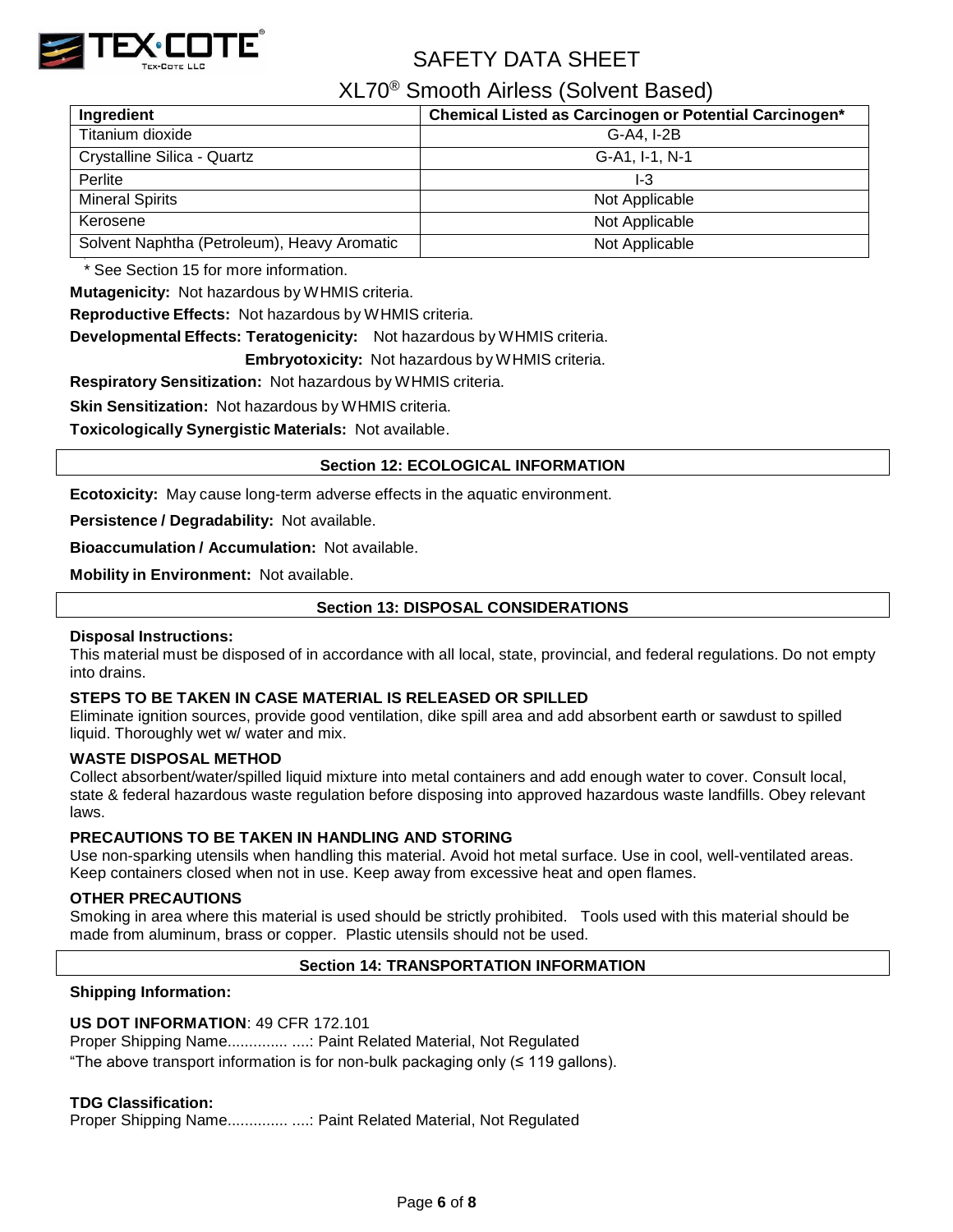

XL70® Smooth Airless (Solvent Based)

| Ingredient                                  | Chemical Listed as Carcinogen or Potential Carcinogen* |
|---------------------------------------------|--------------------------------------------------------|
| Titanium dioxide                            | G-A4, I-2B                                             |
| Crystalline Silica - Quartz                 | G-A1, I-1, N-1                                         |
| Perlite                                     | I-3                                                    |
| <b>Mineral Spirits</b>                      | Not Applicable                                         |
| Kerosene                                    | Not Applicable                                         |
| Solvent Naphtha (Petroleum), Heavy Aromatic | Not Applicable                                         |

\* See Section 15 for more information.

**Mutagenicity:** Not hazardous by WHMIS criteria.

**Reproductive Effects:** Not hazardous by WHMIS criteria.

**Developmental Effects: Teratogenicity:** Not hazardous by WHMIS criteria.

**Embryotoxicity:** Not hazardous by WHMIS criteria.

**Respiratory Sensitization:** Not hazardous by WHMIS criteria.

**Skin Sensitization:** Not hazardous by WHMIS criteria.

**Toxicologically Synergistic Materials:** Not available.

### **Section 12: ECOLOGICAL INFORMATION**

**Ecotoxicity:** May cause long-term adverse effects in the aquatic environment.

**Persistence / Degradability:** Not available.

**Bioaccumulation / Accumulation:** Not available.

**Mobility in Environment:** Not available.

## **Section 13: DISPOSAL CONSIDERATIONS**

### **Disposal Instructions:**

This material must be disposed of in accordance with all local, state, provincial, and federal regulations. Do not empty into drains.

### **STEPS TO BE TAKEN IN CASE MATERIAL IS RELEASED OR SPILLED**

Eliminate ignition sources, provide good ventilation, dike spill area and add absorbent earth or sawdust to spilled liquid. Thoroughly wet w/ water and mix.

### **WASTE DISPOSAL METHOD**

Collect absorbent/water/spilled liquid mixture into metal containers and add enough water to cover. Consult local, state & federal hazardous waste regulation before disposing into approved hazardous waste landfills. Obey relevant laws.

### **PRECAUTIONS TO BE TAKEN IN HANDLING AND STORING**

Use non-sparking utensils when handling this material. Avoid hot metal surface. Use in cool, well-ventilated areas. Keep containers closed when not in use. Keep away from excessive heat and open flames.

### **OTHER PRECAUTIONS**

Smoking in area where this material is used should be strictly prohibited. Tools used with this material should be made from aluminum, brass or copper. Plastic utensils should not be used.

### **Section 14: TRANSPORTATION INFORMATION**

### **Shipping Information:**

### **US DOT INFORMATION**: 49 CFR 172.101

Proper Shipping Name.............. ....: Paint Related Material, Not Regulated

"The above transport information is for non-bulk packaging only (≤ 119 gallons).

### **TDG Classification:**

Proper Shipping Name.................... ....: Paint Related Material, Not Regulated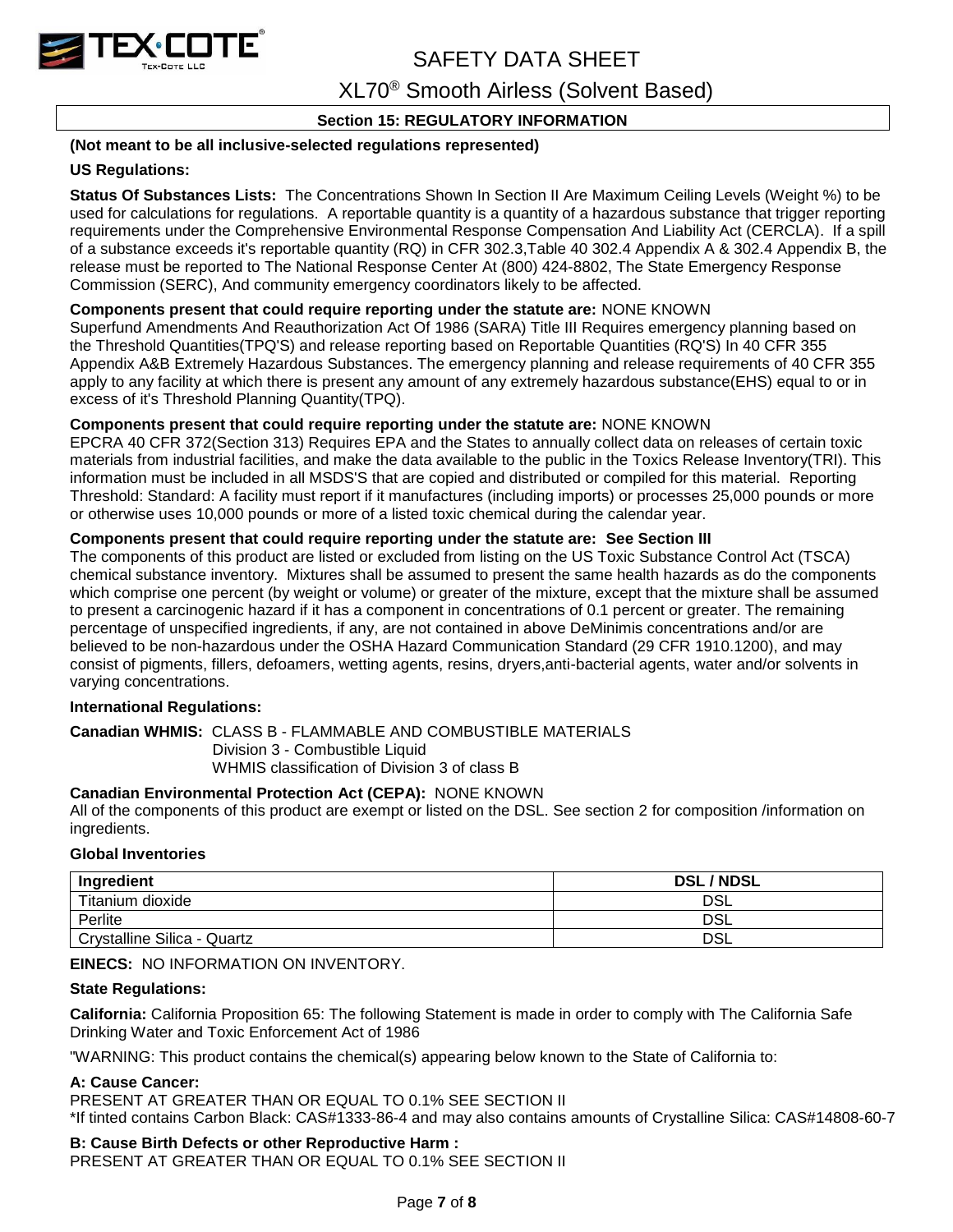

XL70® Smooth Airless (Solvent Based)

## **Section 15: REGULATORY INFORMATION**

## **(Not meant to be all inclusive-selected regulations represented)**

## **US Regulations:**

**Status Of Substances Lists:** The Concentrations Shown In Section II Are Maximum Ceiling Levels (Weight %) to be used for calculations for regulations. A reportable quantity is a quantity of a hazardous substance that trigger reporting requirements under the Comprehensive Environmental Response Compensation And Liability Act (CERCLA). If a spill of a substance exceeds it's reportable quantity (RQ) in CFR 302.3,Table 40 302.4 Appendix A & 302.4 Appendix B, the release must be reported to The National Response Center At (800) 424-8802, The State Emergency Response Commission (SERC), And community emergency coordinators likely to be affected.

## **Components present that could require reporting under the statute are:** NONE KNOWN

Superfund Amendments And Reauthorization Act Of 1986 (SARA) Title III Requires emergency planning based on the Threshold Quantities(TPQ'S) and release reporting based on Reportable Quantities (RQ'S) In 40 CFR 355 Appendix A&B Extremely Hazardous Substances. The emergency planning and release requirements of 40 CFR 355 apply to any facility at which there is present any amount of any extremely hazardous substance(EHS) equal to or in excess of it's Threshold Planning Quantity(TPQ).

## **Components present that could require reporting under the statute are:** NONE KNOWN

EPCRA 40 CFR 372(Section 313) Requires EPA and the States to annually collect data on releases of certain toxic materials from industrial facilities, and make the data available to the public in the Toxics Release Inventory(TRI). This information must be included in all MSDS'S that are copied and distributed or compiled for this material. Reporting Threshold: Standard: A facility must report if it manufactures (including imports) or processes 25,000 pounds or more or otherwise uses 10,000 pounds or more of a listed toxic chemical during the calendar year.

## **Components present that could require reporting under the statute are: See Section III**

The components of this product are listed or excluded from listing on the US Toxic Substance Control Act (TSCA) chemical substance inventory. Mixtures shall be assumed to present the same health hazards as do the components which comprise one percent (by weight or volume) or greater of the mixture, except that the mixture shall be assumed to present a carcinogenic hazard if it has a component in concentrations of 0.1 percent or greater. The remaining percentage of unspecified ingredients, if any, are not contained in above DeMinimis concentrations and/or are believed to be non-hazardous under the OSHA Hazard Communication Standard (29 CFR 1910.1200), and may consist of pigments, fillers, defoamers, wetting agents, resins, dryers,anti-bacterial agents, water and/or solvents in varying concentrations.

### **International Regulations:**

### **Canadian WHMIS:** CLASS B - FLAMMABLE AND COMBUSTIBLE MATERIALS

Division 3 - Combustible Liquid

## WHMIS classification of Division 3 of class B

## **Canadian Environmental Protection Act (CEPA):** NONE KNOWN

All of the components of this product are exempt or listed on the DSL. See section 2 for composition /information on ingredients.

### **Global Inventories**

| Ingredient                  | <b>DSL/NDSL</b> |
|-----------------------------|-----------------|
| Titanium dioxide            | DSL             |
| Perlite                     | DSL             |
| Crystalline Silica - Quartz | DSL             |

### **EINECS:** NO INFORMATION ON INVENTORY.

### **State Regulations:**

**California:** California Proposition 65: The following Statement is made in order to comply with The California Safe Drinking Water and Toxic Enforcement Act of 1986

"WARNING: This product contains the chemical(s) appearing below known to the State of California to:

## **A: Cause Cancer:**

PRESENT AT GREATER THAN OR EQUAL TO 0.1% SEE SECTION II

\*If tinted contains Carbon Black: CAS#1333-86-4 and may also contains amounts of Crystalline Silica: CAS#14808-60-7

### **B: Cause Birth Defects or other Reproductive Harm :**

PRESENT AT GREATER THAN OR EQUAL TO 0.1% SEE SECTION II